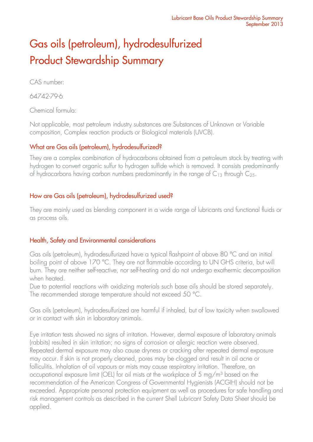# Gas oils (petroleum), hydrodesulfurized Product Stewardship Summary

CAS number:

64742-79-6

Chemical formula:

Not applicable, most petroleum industry substances are Substances of Unknown or Variable composition, Complex reaction products or Biological materials (UVCB).

# What are Gas oils (petroleum), hydrodesulfurized?

They are a complex combination of hydrocarbons obtained from a petroleum stock by treating with hydrogen to convert organic sulfur to hydrogen sulfide which is removed. It consists predominantly of hydrocarbons having carbon numbers predominantly in the range of  $C_{13}$  through  $C_{25}$ .

## How are Gas oils (petroleum), hydrodesulfurized used?

They are mainly used as blending component in a wide range of lubricants and functional fluids or as process oils.

## Health, Safety and Environmental considerations

Gas oils (petroleum), hydrodesulfurized have a typical flashpoint of above 80 °C and an initial boiling point of above 170 °C. They are not flammable according to UN GHS criteria, but will burn. They are neither self-reactive, nor self-heating and do not undergo exothermic decomposition when heated.

Due to potential reactions with oxidizing materials such base oils should be stored separately. The recommended storage temperature should not exceed 50 °C.

Gas oils (petroleum), hydrodesulfurized are harmful if inhaled, but of low toxicity when swallowed or in contact with skin in laboratory animals.

Eye irritation tests showed no signs of irritation. However, dermal exposure of laboratory animals (rabbits) resulted in skin irritation; no signs of corrosion or allergic reaction were observed. Repeated dermal exposure may also cause dryness or cracking after repeated dermal exposure may occur. If skin is not properly cleaned, pores may be clogged and result in oil acne or folliculitis. Inhalation of oil vapours or mists may cause respiratory irritation. Therefore, an occupational exposure limit (OEL) for oil mists at the workplace of 5 mg/m<sup>3</sup> based on the recommendation of the American Congress of Governmental Hygienists (ACGIH) should not be exceeded. Appropriate personal protection equipment as well as procedures for safe handling and risk management controls as described in the current Shell Lubricant Safety Data Sheet should be applied.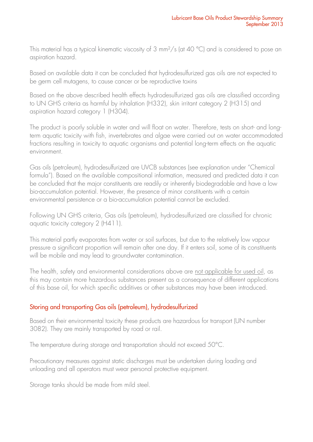This material has a typical kinematic viscosity of 3 mm<sup>2</sup>/s (at 40 °C) and is considered to pose an aspiration hazard.

Based on available data it can be concluded that hydrodesulfurized gas oils are not expected to be germ cell mutagens, to cause cancer or be reproductive toxins

Based on the above described health effects hydrodesulfurized gas oils are classified according to UN GHS criteria as harmful by inhalation (H332), skin irritant category 2 (H315) and aspiration hazard category 1 (H304).

The product is poorly soluble in water and will float on water. Therefore, tests on short- and longterm aquatic toxicity with fish, invertebrates and algae were carried out on water accommodated fractions resulting in toxicity to aquatic organisms and potential long-term effects on the aquatic environment.

Gas oils (petroleum), hydrodesulfurized are UVCB substances (see explanation under "Chemical formula"). Based on the available compositional information, measured and predicted data it can be concluded that the major constituents are readily or inherently biodegradable and have a low bio-accumulation potential. However, the presence of minor constituents with a certain environmental persistence or a bio-accumulation potential cannot be excluded.

Following UN GHS criteria, Gas oils (petroleum), hydrodesulfurized are classified for chronic aquatic toxicity category 2 (H411).

This material partly evaporates from water or soil surfaces, but due to the relatively low vapour pressure a significant proportion will remain after one day. If it enters soil, some of its constituents will be mobile and may lead to groundwater contamination.

The health, safety and environmental considerations above are not applicable for used oil, as this may contain more hazardous substances present as a consequence of different applications of this base oil, for which specific additives or other substances may have been introduced.

## Storing and transporting Gas oils (petroleum), hydrodesulfurized

Based on their environmental toxicity these products are hazardous for transport (UN number 3082). They are mainly transported by road or rail.

The temperature during storage and transportation should not exceed 50°C.

Precautionary measures against static discharges must be undertaken during loading and unloading and all operators must wear personal protective equipment.

Storage tanks should be made from mild steel.